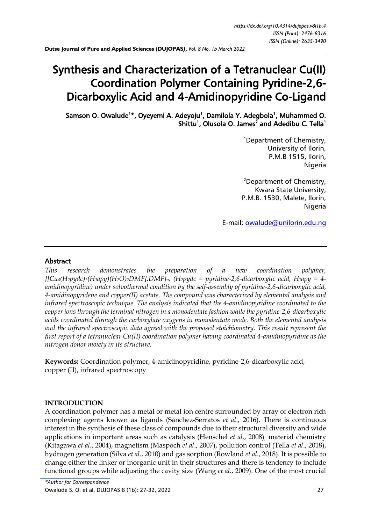# Synthesis and Characterization of a Tetranuclear Cu(II) Coordination Polymer Containing Pyridine-2,6- Dicarboxylic Acid and 4-Amidinopyridine Co-Ligand

Samson O. Owalude<sup>1\*</sup>, Oyeyemi A. Adeyoju<sup>1</sup>, Damilola Y. Adegbola<sup>1</sup>, Muhammed O. Shittu<sup>1</sup>, Olusola O. James<sup>2</sup> and Adedibu C. Tella<sup>1</sup>

> <sup>1</sup>Department of Chemistry, University of Ilorin, P.M.B 1515, Ilorin, Nigeria

<sup>2</sup>Department of Chemistry, Kwara State University, P.M.B. 1530, Malete, Ilorin, **Nigeria** 

E-mail: [owalude@unilorin.edu.ng](mailto:owalude@unilorin.edu.ng)

#### Abstract

*This research demonstrates the preparation of a new coordination polymer,*   $\{[Cu_4(H_2pydc)_2(H_1apy)(H_2O)_2DMF].DMF\}_{n}$ ,  $(H_2pydc = pyridine-2,6-dicarboxylic acid, H_1apy = 4-d.$ *amidinopyridine) under solvothermal condition by the self-assembly of pyridine-2,6-dicarboxylic acid, 4-amidinopyridene and copper(II) acetate. The compound was characterized by elemental analysis and infrared spectroscopic technique. The analysis indicated that the 4-amidinopyridine coordinated to the copper ions through the terminal nitrogen in a monodentate fashion while the pyridine-2,6-dicarboxylic acids coordinated through the carboxylate oxygens in monodentate mode. Both the elemental analysis and the infrared spectroscopic data agreed with the proposed stoichiometry. This result represent the first report of a tetranuclear Cu(II) coordination polymer having coordinated 4-amidinopyridine as the nitrogen donor moiety in its structure.*

**Keywords:** Coordination polymer, 4-amidinopyridine, pyridine-2,6-dicarboxylic acid, copper (II), infrared spectroscopy

#### **INTRODUCTION**

A coordination polymer has a metal or metal ion centre surrounded by array of electron rich complexing agents known as ligands (Sánchez-Serratos *et al*., 2016). There is continuous interest in the synthesis of these class of compounds due to their structural diversity and wide applications in important areas such as catalysis (Henschel *et al*., 2008), material chemistry (Kitagawa *et al*., 2004), magnetism (Maspoch *et al*., 2007), pollution control (Tella *et al*., 2018), hydrogen generation (Silva *et al*., 2010) and gas sorption (Rowland *et al*., 2018). It is possible to change either the linker or inorganic unit in their structures and there is tendency to include functional groups while adjusting the cavity size (Wang *et al*., 2009). One of the most crucial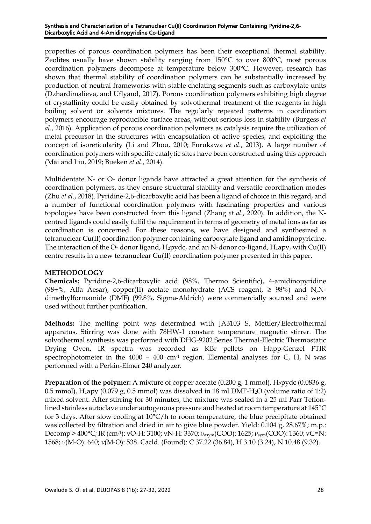#### Synthesis and Characterization of a Tetranuclear Cu(II) Coordination Polymer Containing Pyridine-2,6- Dicarboxylic Acid and 4-Amidinopyridine Co-Ligand

properties of porous coordination polymers has been their exceptional thermal stability. Zeolites usually have shown stability ranging from 150°C to over 800°C, most porous coordination polymers decompose at temperature below 300°C. However, research has shown that thermal stability of coordination polymers can be substantially increased by production of neutral frameworks with stable chelating segments such as carboxylate units (Dzhardimalieva, and Uflyand, 2017). Porous coordination polymers exhibiting high degree of crystallinity could be easily obtained by solvothermal treatment of the reagents in high boiling solvent or solvents mixtures. The regularly repeated patterns in coordination polymers encourage reproducible surface areas, without serious loss in stability (Burgess *et al*., 2016). Application of porous coordination polymers as catalysis require the utilization of metal precursor in the structures with encapsulation of active species, and exploiting the concept of isoreticularity (Li and Zhou, 2010; Furukawa *et al*., 2013). A large number of coordination polymers with specific catalytic sites have been constructed using this approach (Mai and Liu, 2019; Bueken *et al*., 2014).

Multidentate N- or O- donor ligands have attracted a great attention for the synthesis of coordination polymers, as they ensure structural stability and versatile coordination modes (Zhu *et al*., 2018). Pyridine-2,6-dicarboxylic acid has been a ligand of choice in this regard, and a number of functional coordination polymers with fascinating properties and various topologies have been constructed from this ligand (Zhang *et al*., 2020). In addition, the Ncentred ligands could easily fulfil the requirement in terms of geometry of metal ions as far as coordination is concerned. For these reasons, we have designed and synthesized a tetranuclear Cu(II) coordination polymer containing carboxylate ligand and amidinopyridine. The interaction of the O- donor ligand,  $H_2$ pydc, and an N-donor co-ligand,  $H_1$ apy, with Cu(II) centre results in a new tetranuclear Cu(II) coordination polymer presented in this paper.

# **METHODOLOGY**

**Chemicals:** Pyridine-2,6-dicarboxylic acid (98%, Thermo Scientific), 4-amidinopyridine (98+%, Alfa Aesar), copper(II) acetate monohydrate (ACS reagent,  $\geq$  98%) and N,Ndimethylformamide (DMF) (99.8%, Sigma-Aldrich) were commercially sourced and were used without further purification.

**Methods:** The melting point was determined with JA3103 S. Mettler/Electrothermal apparatus. Stirring was done with 78HW-1 constant temperature magnetic stirrer. The solvothermal synthesis was performed with DHG-9202 Series Thermal-Electric Thermostatic Drying Oven. IR spectra was recorded as KBr pellets on Happ-Genzel FTIR spectrophotometer in the  $4000 - 400$  cm<sup>-1</sup> region. Elemental analyses for C, H, N was performed with a Perkin-Elmer 240 analyzer.

**Preparation of the polymer:** A mixture of copper acetate  $(0.200 \text{ g}, 1 \text{ mmol})$ , H<sub>2</sub>pydc  $(0.0836 \text{ g}, 1 \text{ m})$ 0.5 mmol),  $H_1$ apy (0.079 g, 0.5 mmol) was dissolved in 18 ml DMF- $H_2O$  (volume ratio of 1:2) mixed solvent. After stirring for 30 minutes, the mixture was sealed in a 25 ml Parr Teflonlined stainless autoclave under autogenous pressure and heated at room temperature at 145°C for 3 days. After slow cooling at 10°C/h to room temperature, the blue precipitate obtained was collected by filtration and dried in air to give blue powder. Yield: 0.104 g, 28.67%; m.p.: Decomp > 400°C; IR (cm-1): νO-H: 3100; νN-H: 3370; *ν*asym(COO): 1625; *ν*sym(COO): 1360; νC=N: 1568; *ν*(M-O): 640; *ν*(M-O): 538. Cacld. (Found): C 37.22 (36.84), H 3.10 (3.24), N 10.48 (9.32).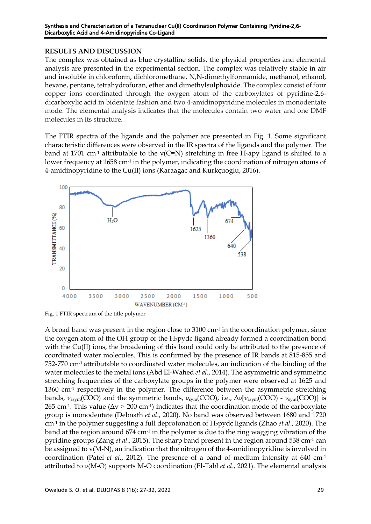#### **RESULTS AND DISCUSSION**

The complex was obtained as blue crystalline solids, the physical properties and elemental analysis are presented in the experimental section. The complex was relatively stable in air and insoluble in chloroform, dichloromethane, N,N-dimethylformamide, methanol, ethanol, hexane, pentane, tetrahydrofuran, ether and dimethylsulphoxide. The complex consist of four copper ions coordinated through the oxygen atom of the carboxylates of pyridine-2,6 dicarboxylic acid in bidentate fashion and two 4-amidinopyridine molecules in monodentate mode. The elemental analysis indicates that the molecules contain two water and one DMF molecules in its structure.

The FTIR spectra of the ligands and the polymer are presented in Fig. 1. Some significant characteristic differences were observed in the IR spectra of the ligands and the polymer. The band at 1701 cm<sup>-1</sup> attributable to the  $v(C=N)$  stretching in free H<sub>1</sub>apy ligand is shifted to a lower frequency at 1658 cm<sup>-1</sup> in the polymer, indicating the coordination of nitrogen atoms of 4-amidinopyridine to the Cu(II) ions (Karaagac and Kurkçuoglu, 2016).



Fig. 1 FTIR spectrum of the title polymer

A broad band was present in the region close to 3100 cm-1 in the coordination polymer, since the oxygen atom of the OH group of the  $H_2$  pydc ligand already formed a coordination bond with the Cu(II) ions, the broadening of this band could only be attributed to the presence of coordinated water molecules. This is confirmed by the presence of IR bands at 815-855 and 752-770 cm-1 attributable to coordinated water molecules, an indication of the binding of the water molecules to the metal ions (Abd El-Wahed *et al*., 2014). The asymmetric and symmetric stretching frequencies of the carboxylate groups in the polymer were observed at 1625 and 1360 cm<sup>-1</sup> respectively in the polymer. The difference between the asymmetric stretching bands, *ν*asym(COO) and the symmetric bands, *ν*sym(COO), i.e., Δ*ν*[*ν*asym(COO) - *ν*sym(COO)] is 265 cm<sup>-1</sup>. This value ( $\Delta v > 200$  cm<sup>-1</sup>) indicates that the coordination mode of the carboxylate group is monodentate (Debnath *et al*., 2020). No band was observed between 1680 and 1720 cm-1 in the polymer suggesting a full deprotonation of H2pydc ligands (Zhao *et al*., 2020). The band at the region around 674 cm<sup>-1</sup> in the polymer is due to the ring wagging vibration of the pyridine groups (Zang *et al*., 2015). The sharp band present in the region around 538 cm-1 can be assigned to ν(M-N), an indication that the nitrogen of the 4-amidinopyridine is involved in coordination (Patel *et al*., 2012). The presence of a band of medium intensity at 640 cm-1 attributed to *ν*(M-O) supports M-O coordination (El-Tabl *et al*., 2021). The elemental analysis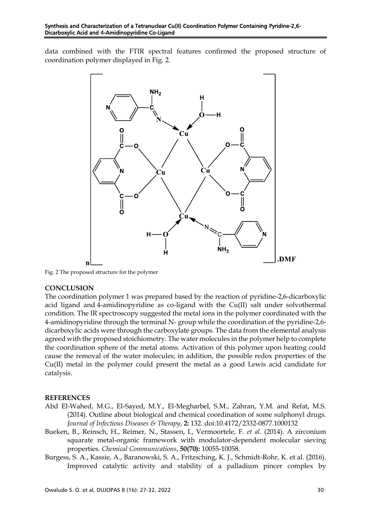data combined with the FTIR spectral features confirmed the proposed structure of coordination polymer displayed in Fig. 2.



 $\overline{a}$ Fig. 2 The proposed structure for the polymer

# **CONCLUSION**

The coordination polymer 1 was prepared based by the reaction of pyridine-2,6-dicarboxylic acid ligand and 4-amidinopyridine as co-ligand with the Cu(II) salt under solvothermal condition. The IR spectroscopy suggested the metal ions in the polymer coordinated with the 4-amidinopyridine through the terminal N- group while the coordination of the pyridine-2,6 dicarboxylic acids were through the carboxylate groups. The data from the elemental analysis agreed with the proposed stoichiometry. The water molecules in the polymer help to complete the coordination sphere of the metal atoms. Activation of this polymer upon heating could cause the removal of the water molecules; in addition, the possible redox properties of the Cu(II) metal in the polymer could present the metal as a good Lewis acid candidate for catalysis.

# **REFERENCES**

- Abd El-Wahed, M.G., El-Sayed, M.Y., El-Megharbel, S.M., Zahran, Y.M. and Refat, M.S. (2014). Outline about biological and chemical coordination of some sulphonyl drugs. *Journal of Infectious Diseases & Therapy*, **2:** 132. doi:10.4172/2332-0877.1000132
- Bueken, B., Reinsch, H., Reimer, N., Stassen, I., Vermoortele, F. *et al*. (2014). A zirconium squarate metal-organic framework with modulator-dependent molecular sieving properties. *Chemical Communications*, **50(70):** 10055-10058.
- Burgess, S. A., Kassie, A., Baranowski, S. A., Fritzsching, K. J., Schmidt-Rohr, K. et al. (2016). Improved catalytic activity and stability of a palladium pincer complex by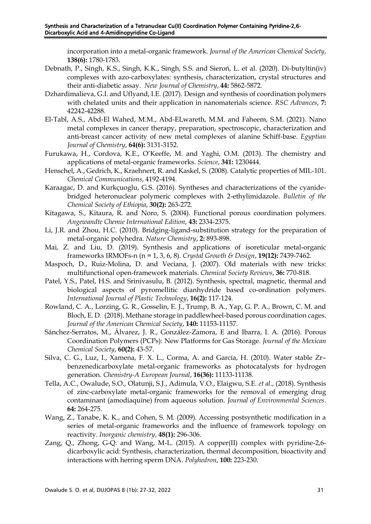incorporation into a metal-organic framework. *Journal of the American Chemical Society*, **138(6):** 1780-1783.

- Debnath, P., Singh, K.S., Singh, K.K., Singh, S.S. and Sieroń, L. et al. (2020). Di-butyltin(iv) complexes with azo-carboxylates: synthesis, characterization, crystal structures and their anti-diabetic assay. *New Journal of Chemistry*, **44:** 5862-5872.
- Dzhardimalieva, G.I. and Uflyand, I.E. (2017). Design and synthesis of coordination polymers with chelated units and their application in nanomaterials science. *RSC Advances*, **7:** 42242-42288.
- El-Tabl, A.S., Abd-El Wahed, M.M., Abd-ELwareth, M.M. and Faheem, S.M. (2021). Nano metal complexes in cancer therapy, preparation, spectroscopic, characterization and anti-breast cancer activity of new metal complexes of alanine Schiff-base. *Egyptian Journal of Chemistry*, **64(6):** 3131-3152.
- Furukawa, H., Cordova, K.E., O'Keeffe, M. and Yaghi, O.M. (2013). The chemistry and applications of metal-organic frameworks. *Science*, **341:** 1230444.
- Henschel, A., Gedrich, K., Kraehnert, R. and Kaskel, S. (2008). Catalytic properties of MIL-101. *Chemical Communications*, 4192-4194.
- Karaagac, D. and Kurkçuoglu, G.S. (2016). Syntheses and characterizations of the cyanidebridged heteronuclear polymeric complexes with 2-ethylimidazole. *Bulletin of the Chemical Society of Ethiopia*, **30(2):** 263-272.
- Kitagawa, S., Kitaura, R. and Noro, S. (2004). Functional porous coordination polymers. *Angewandte Chemie International Edition*, **43:** 2334-2375.
- Li, J.R. and Zhou, H.C. (2010). Bridging-ligand-substitution strategy for the preparation of metal-organic polyhedra. *Nature Chemistry*, **2:** 893-898.
- Mai, Z. and Liu, D. (2019). Synthesis and applications of isoreticular metal-organic frameworks IRMOFs-n (n = 1, 3, 6, 8). *Crystal Growth & Design*, **19(12):** 7439-7462.
- Maspoch, D., Ruiz-Molina, D. and Veciana, J. (2007). Old materials with new tricks: multifunctional open-framework materials. *Chemical Society Reviews*, **36:** 770-818.
- Patel, Y.S., Patel, H.S. and Srinivasulu, B. (2012). Synthesis, spectral, magnetic, thermal and biological aspects of pyromellitic dianhydride based co-ordination polymers. *International Journal of Plastic Technology*, **16(2):** 117-124.
- Rowland, C. A., Lorzing, G. R., Gosselin, E. J., Trump, B. A., Yap, G. P. A., Brown, C. M. and Bloch, E. D. (2018). Methane storage in paddlewheel-based porous coordination cages. *Journal of the American Chemical Society*, **140:** 11153-11157.
- Sánchez-Serratos, M., Álvarez, J. R., González-Zamora, E and Ibarra, I. A. (2016). Porous Coordination Polymers (PCPs): New Platforms for Gas Storage. *Journal of the Mexican Chemical Society*, **60(2):** 43-57.
- Silva, C. G., Luz, I., Xamena, F. X. L., Corma, A. and García, H. (2010). Water stable Zr– benzenedicarboxylate metal-organic frameworks as photocatalysts for hydrogen generation. *Chemistry-A European Journal*, **16(36):** 11133-11138.
- Tella, A.C., Owalude, S.O., Olatunji, S.J., Adimula, V.O., Elaigwu, S.E. *et al*., (2018). Synthesis of zinc-carboxylate metal-organic frameworks for the removal of emerging drug contaminant (amodiaquine) from aqueous solution. *Journal of Environmental Sciences*. **64:** 264-275.
- Wang, Z., Tanabe, K. K., and Cohen, S. M. (2009). Accessing postsynthetic modification in a series of metal-organic frameworks and the influence of framework topology on reactivity. *Inorganic chemistry*, **48(1):** 296-306.
- Zang, Q., Zhong, G-Q. and Wang, M-L. (2015). A copper(II) complex with pyridine-2,6 dicarboxylic acid: Synthesis, characterization, thermal decomposition, bioactivity and interactions with herring sperm DNA. *Polyhedron*, **100:** 223-230.